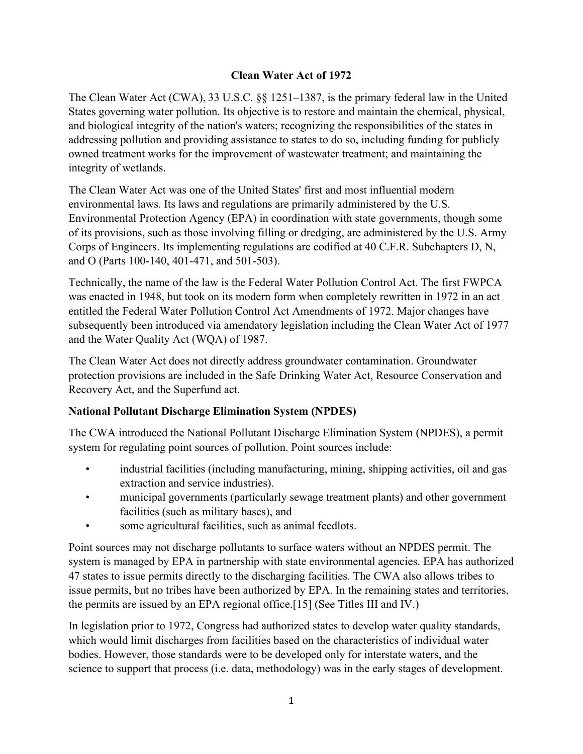## **Clean Water Act of 1972**

The Clean Water Act (CWA), 33 U.S.C. §§ 1251–1387, is the primary federal law in the United States governing water pollution. Its objective is to restore and maintain the chemical, physical, and biological integrity of the nation's waters; recognizing the responsibilities of the states in addressing pollution and providing assistance to states to do so, including funding for publicly owned treatment works for the improvement of wastewater treatment; and maintaining the integrity of wetlands.

The Clean Water Act was one of the United States' first and most influential modern environmental laws. Its laws and regulations are primarily administered by the U.S. Environmental Protection Agency (EPA) in coordination with state governments, though some of its provisions, such as those involving filling or dredging, are administered by the U.S. Army Corps of Engineers. Its implementing regulations are codified at 40 C.F.R. Subchapters D, N, and O (Parts 100-140, 401-471, and 501-503).

Technically, the name of the law is the Federal Water Pollution Control Act. The first FWPCA was enacted in 1948, but took on its modern form when completely rewritten in 1972 in an act entitled the Federal Water Pollution Control Act Amendments of 1972. Major changes have subsequently been introduced via amendatory legislation including the Clean Water Act of 1977 and the Water Quality Act (WQA) of 1987.

The Clean Water Act does not directly address groundwater contamination. Groundwater protection provisions are included in the Safe Drinking Water Act, Resource Conservation and Recovery Act, and the Superfund act.

## **National Pollutant Discharge Elimination System (NPDES)**

The CWA introduced the National Pollutant Discharge Elimination System (NPDES), a permit system for regulating point sources of pollution. Point sources include:

- industrial facilities (including manufacturing, mining, shipping activities, oil and gas extraction and service industries).
- municipal governments (particularly sewage treatment plants) and other government facilities (such as military bases), and
- some agricultural facilities, such as animal feedlots.

Point sources may not discharge pollutants to surface waters without an NPDES permit. The system is managed by EPA in partnership with state environmental agencies. EPA has authorized 47 states to issue permits directly to the discharging facilities. The CWA also allows tribes to issue permits, but no tribes have been authorized by EPA. In the remaining states and territories, the permits are issued by an EPA regional office.[15] (See Titles III and IV.)

In legislation prior to 1972, Congress had authorized states to develop water quality standards, which would limit discharges from facilities based on the characteristics of individual water bodies. However, those standards were to be developed only for interstate waters, and the science to support that process (i.e. data, methodology) was in the early stages of development.